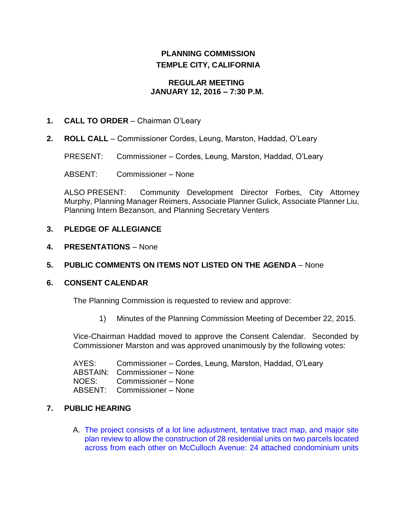# **PLANNING COMMISSION TEMPLE CITY, CALIFORNIA**

# **REGULAR MEETING JANUARY 12, 2016 – 7:30 P.M.**

# **1. CALL TO ORDER** – Chairman O'Leary

**2. ROLL CALL** – Commissioner Cordes, Leung, Marston, Haddad, O'Leary

PRESENT: Commissioner – Cordes, Leung, Marston, Haddad, O'Leary

ABSENT: Commissioner – None

ALSO PRESENT: Community Development Director Forbes, City Attorney Murphy, Planning Manager Reimers, Associate Planner Gulick, Associate Planner Liu, Planning Intern Bezanson, and Planning Secretary Venters

# **3. PLEDGE OF ALLEGIANCE**

**4. PRESENTATIONS** – None

# **5. PUBLIC COMMENTS ON ITEMS NOT LISTED ON THE AGENDA** – None

# **6. CONSENT CALENDAR**

The Planning Commission is requested to review and approve:

1) Minutes of the Planning Commission Meeting of December 22, 2015.

Vice-Chairman Haddad moved to approve the Consent Calendar. Seconded by Commissioner Marston and was approved unanimously by the following votes:

AYES: Commissioner – Cordes, Leung, Marston, Haddad, O'Leary ABSTAIN: Commissioner – None NOES: Commissioner – None ABSENT: Commissioner – None

# **7. PUBLIC HEARING**

A. [The project consists of a lot line adjustment, tentative tract map, and major site](http://ca-templecity.civicplus.com/DocumentCenter/View/5169)  [plan review to allow the construction of 28 residential units on two parcels located](http://ca-templecity.civicplus.com/DocumentCenter/View/5169)  [across from each other on McCulloch Avenue: 24 attached condominium units](http://ca-templecity.civicplus.com/DocumentCenter/View/5169)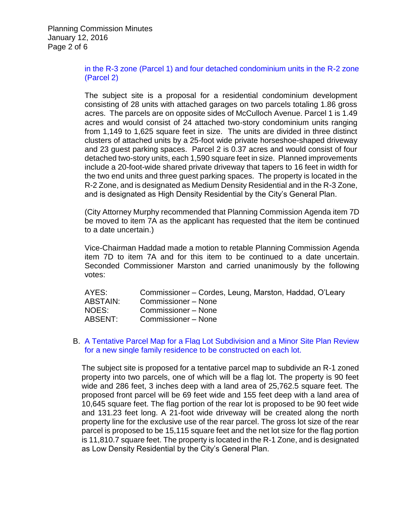Planning Commission Minutes January 12, 2016 Page 2 of 6

# [in the R-3 zone \(Parcel 1\) and four detached condominium units in the R-2 zone](http://ca-templecity.civicplus.com/DocumentCenter/View/5169)  [\(Parcel 2\)](http://ca-templecity.civicplus.com/DocumentCenter/View/5169)

The subject site is a proposal for a residential condominium development consisting of 28 units with attached garages on two parcels totaling 1.86 gross acres. The parcels are on opposite sides of McCulloch Avenue. Parcel 1 is 1.49 acres and would consist of 24 attached two-story condominium units ranging from 1,149 to 1,625 square feet in size. The units are divided in three distinct clusters of attached units by a 25-foot wide private horseshoe-shaped driveway and 23 guest parking spaces. Parcel 2 is 0.37 acres and would consist of four detached two-story units, each 1,590 square feet in size. Planned improvements include a 20-foot-wide shared private driveway that tapers to 16 feet in width for the two end units and three guest parking spaces. The property is located in the R-2 Zone, and is designated as Medium Density Residential and in the R-3 Zone, and is designated as High Density Residential by the City's General Plan.

(City Attorney Murphy recommended that Planning Commission Agenda item 7D be moved to item 7A as the applicant has requested that the item be continued to a date uncertain.)

Vice-Chairman Haddad made a motion to retable Planning Commission Agenda item 7D to item 7A and for this item to be continued to a date uncertain. Seconded Commissioner Marston and carried unanimously by the following votes:

| AYES:    | Commissioner – Cordes, Leung, Marston, Haddad, O'Leary |
|----------|--------------------------------------------------------|
| ABSTAIN: | Commissioner - None                                    |
| NOES:    | Commissioner – None                                    |
| ABSENT:  | Commissioner - None                                    |

#### B. [A Tentative Parcel Map for a Flag Lot Subdivision and a Minor](http://ca-templecity.civicplus.com/DocumentCenter/View/5166) Site Plan Review [for a new single family residence to be constructed on each lot.](http://ca-templecity.civicplus.com/DocumentCenter/View/5166)

The subject site is proposed for a tentative parcel map to subdivide an R-1 zoned property into two parcels, one of which will be a flag lot. The property is 90 feet wide and 286 feet, 3 inches deep with a land area of 25,762.5 square feet. The proposed front parcel will be 69 feet wide and 155 feet deep with a land area of 10,645 square feet. The flag portion of the rear lot is proposed to be 90 feet wide and 131.23 feet long. A 21-foot wide driveway will be created along the north property line for the exclusive use of the rear parcel. The gross lot size of the rear parcel is proposed to be 15,115 square feet and the net lot size for the flag portion is 11,810.7 square feet. The property is located in the R-1 Zone, and is designated as Low Density Residential by the City's General Plan.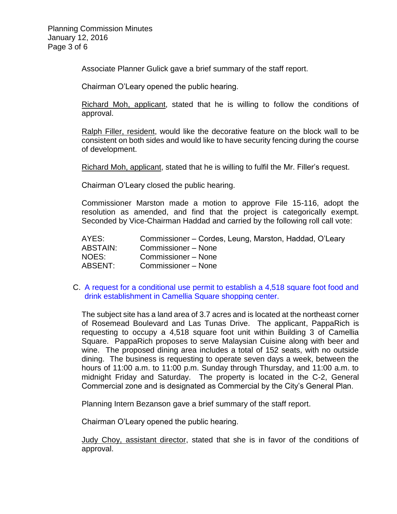Associate Planner Gulick gave a brief summary of the staff report.

Chairman O'Leary opened the public hearing.

Richard Moh, applicant, stated that he is willing to follow the conditions of approval.

Ralph Filler, resident, would like the decorative feature on the block wall to be consistent on both sides and would like to have security fencing during the course of development.

Richard Moh, applicant, stated that he is willing to fulfil the Mr. Filler's request.

Chairman O'Leary closed the public hearing.

Commissioner Marston made a motion to approve File 15-116, adopt the resolution as amended, and find that the project is categorically exempt. Seconded by Vice-Chairman Haddad and carried by the following roll call vote:

| AYES:           | Commissioner – Cordes, Leung, Marston, Haddad, O'Leary |
|-----------------|--------------------------------------------------------|
| <b>ABSTAIN:</b> | Commissioner – None                                    |
| NOES:           | Commissioner – None                                    |
| ABSENT:         | Commissioner - None                                    |

#### C. [A request for a conditional use permit to establish a 4,518 square foot food and](http://ca-templecity.civicplus.com/DocumentCenter/View/5167)  [drink establishment in Camellia Square shopping center.](http://ca-templecity.civicplus.com/DocumentCenter/View/5167)

The subject site has a land area of 3.7 acres and is located at the northeast corner of Rosemead Boulevard and Las Tunas Drive. The applicant, PappaRich is requesting to occupy a 4,518 square foot unit within Building 3 of Camellia Square. PappaRich proposes to serve Malaysian Cuisine along with beer and wine. The proposed dining area includes a total of 152 seats, with no outside dining. The business is requesting to operate seven days a week, between the hours of 11:00 a.m. to 11:00 p.m. Sunday through Thursday, and 11:00 a.m. to midnight Friday and Saturday. The property is located in the C-2, General Commercial zone and is designated as Commercial by the City's General Plan.

Planning Intern Bezanson gave a brief summary of the staff report.

Chairman O'Leary opened the public hearing.

Judy Choy, assistant director, stated that she is in favor of the conditions of approval.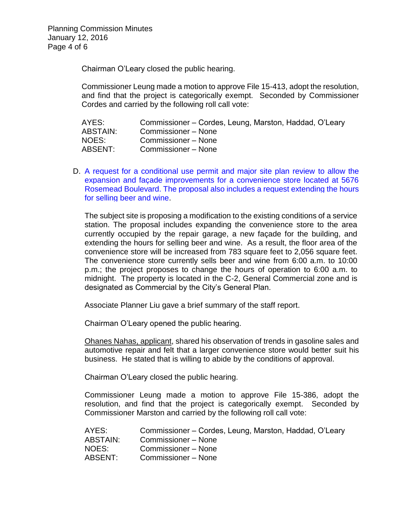Chairman O'Leary closed the public hearing.

Commissioner Leung made a motion to approve File 15-413, adopt the resolution, and find that the project is categorically exempt. Seconded by Commissioner Cordes and carried by the following roll call vote:

| AYES:           | Commissioner – Cordes, Leung, Marston, Haddad, O'Leary |
|-----------------|--------------------------------------------------------|
| <b>ABSTAIN:</b> | Commissioner – None                                    |
| NOES:           | Commissioner – None                                    |
| ABSENT:         | Commissioner - None                                    |

D. [A request for a conditional use permit and major site plan review to allow the](http://ca-templecity.civicplus.com/DocumentCenter/View/5168)  [expansion and façade improvements for a convenience store located at 5676](http://ca-templecity.civicplus.com/DocumentCenter/View/5168)  [Rosemead Boulevard. The proposal also includes a request extending the hours](http://ca-templecity.civicplus.com/DocumentCenter/View/5168)  [for selling beer and wine.](http://ca-templecity.civicplus.com/DocumentCenter/View/5168)

The subject site is proposing a modification to the existing conditions of a service station. The proposal includes expanding the convenience store to the area currently occupied by the repair garage, a new façade for the building, and extending the hours for selling beer and wine. As a result, the floor area of the convenience store will be increased from 783 square feet to 2,056 square feet. The convenience store currently sells beer and wine from 6:00 a.m. to 10:00 p.m.; the project proposes to change the hours of operation to 6:00 a.m. to midnight. The property is located in the C-2, General Commercial zone and is designated as Commercial by the City's General Plan.

Associate Planner Liu gave a brief summary of the staff report.

Chairman O'Leary opened the public hearing.

Ohanes Nahas, applicant, shared his observation of trends in gasoline sales and automotive repair and felt that a larger convenience store would better suit his business. He stated that is willing to abide by the conditions of approval.

Chairman O'Leary closed the public hearing.

Commissioner Leung made a motion to approve File 15-386, adopt the resolution, and find that the project is categorically exempt. Seconded by Commissioner Marston and carried by the following roll call vote:

| Commissioner – Cordes, Leung, Marston, Haddad, O'Leary |
|--------------------------------------------------------|
| Commissioner – None                                    |
| Commissioner – None                                    |
| Commissioner – None                                    |
|                                                        |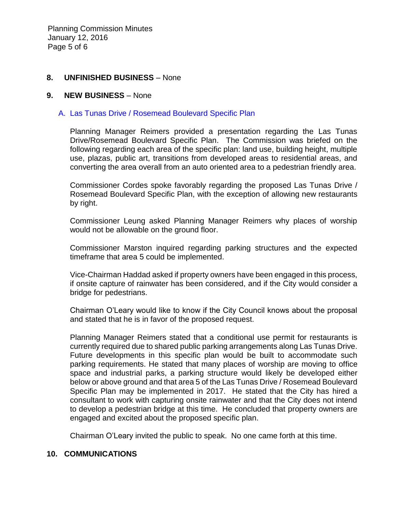Planning Commission Minutes January 12, 2016 Page 5 of 6

### **8. UNFINISHED BUSINESS** – None

#### **9. NEW BUSINESS** – None

#### A. [Las Tunas Drive / Rosemead Boulevard Specific Plan](http://ca-templecity.civicplus.com/DocumentCenter/View/5170)

Planning Manager Reimers provided a presentation regarding the Las Tunas Drive/Rosemead Boulevard Specific Plan. The Commission was briefed on the following regarding each area of the specific plan: land use, building height, multiple use, plazas, public art, transitions from developed areas to residential areas, and converting the area overall from an auto oriented area to a pedestrian friendly area.

Commissioner Cordes spoke favorably regarding the proposed Las Tunas Drive / Rosemead Boulevard Specific Plan, with the exception of allowing new restaurants by right.

Commissioner Leung asked Planning Manager Reimers why places of worship would not be allowable on the ground floor.

Commissioner Marston inquired regarding parking structures and the expected timeframe that area 5 could be implemented.

Vice-Chairman Haddad asked if property owners have been engaged in this process, if onsite capture of rainwater has been considered, and if the City would consider a bridge for pedestrians.

Chairman O'Leary would like to know if the City Council knows about the proposal and stated that he is in favor of the proposed request.

Planning Manager Reimers stated that a conditional use permit for restaurants is currently required due to shared public parking arrangements along Las Tunas Drive. Future developments in this specific plan would be built to accommodate such parking requirements. He stated that many places of worship are moving to office space and industrial parks, a parking structure would likely be developed either below or above ground and that area 5 of the Las Tunas Drive / Rosemead Boulevard Specific Plan may be implemented in 2017. He stated that the City has hired a consultant to work with capturing onsite rainwater and that the City does not intend to develop a pedestrian bridge at this time. He concluded that property owners are engaged and excited about the proposed specific plan.

Chairman O'Leary invited the public to speak. No one came forth at this time.

#### **10. COMMUNICATIONS**